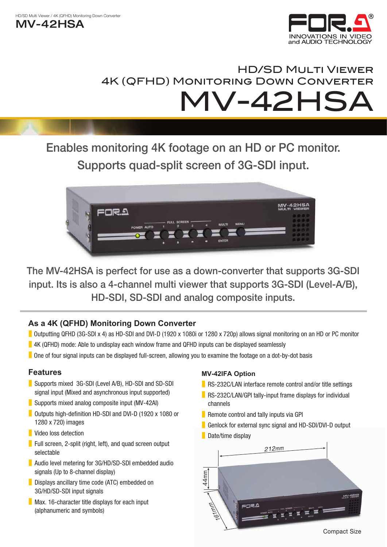$MV-42HSA$ 



# **HD/SD MULTI VIEWER** 4K (QFHD) MONITORING DOWN CONVERTER **MV-42HSA**

## Enables monitoring 4K footage on an HD or PC monitor. Supports quad-split screen of 3G-SDI input.



The MV-42HSA is perfect for use as a down-converter that supports 3G-SDI input. Its is also a 4-channel multi viewer that supports 3G-SDI (Level-A/B), HD-SDI, SD-SDI and analog composite inputs.

### **As a 4K (QFHD) Monitoring Down Converter**

- Outputting QFHD (3G-SDI x 4) as HD-SDI and DVI-D (1920 x 1080i or 1280 x 720p) allows signal monitoring on an HD or PC monitor
- **B** 4K (QFHD) mode: Able to undisplay each window frame and QFHD inputs can be displayed seamlessly
- Deap four signal inputs can be displayed full-screen, allowing you to examine the footage on a dot-by-dot basis

### **Features**

- Supports mixed 3G-SDI (Level A/B), HD-SDI and SD-SDI signal input (Mixed and asynchronous input supported)
- Supports mixed analog composite input (MV-42AI)
- Outputs high-definition HD-SDI and DVI-D (1920 x 1080 or 1280 x 720) images
- Video loss detection
- Full screen, 2-split (right, left), and quad screen output selectable
- Audio level metering for 3G/HD/SD-SDI embedded audio signals (Up to 8-channel display)
- Displays ancillary time code (ATC) embedded on 3G/HD/SD-SDI input signals
- $\blacksquare$  Max. 16-character title displays for each input (alphanumeric and symbols)

#### **MV-42IFA Option**

- RS-232C/LAN interface remote control and/or title settings
- **in** RS-232C/LAN/GPI tally-input frame displays for individual channels
- Remote control and tally inputs via GPI
- Genlock for external sync signal and HD-SDI/DVI-D output
- Date/time display